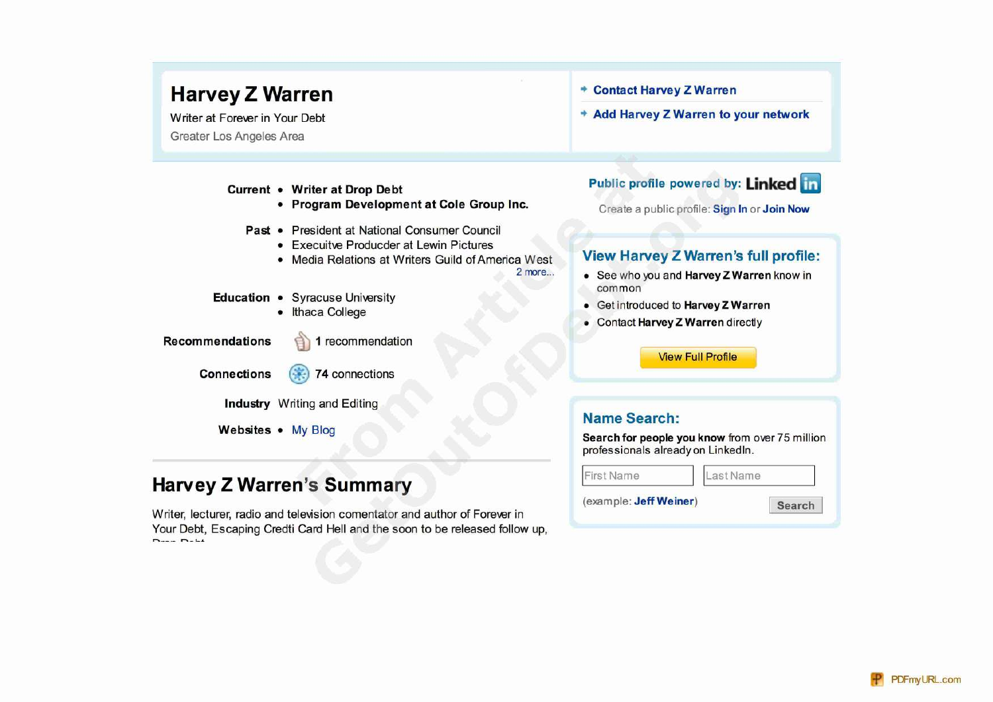# **Harvey Z Warren + Contact Harvey Z Warren**

Writer at Forever in Your Debt **+ Add Harvey Z Warren to your network** Greater Los Angeles Area

- **Program Development at Cole Group Inc.** Create a public profile: Sign In or Join Now
- **Past President at National Consumer Council** 
	- Execuitve Producder at Lewin Pictures
	-
- **Education Syracuse University •** Ithaca College
	-

- **Recommendations** 1 recommendation
	-
	- **Connections 74** connections

**Industry** Writing and Editing

# **Harvey Z Warren's Summary**

Writer, lecturer, radio and television comentator and author of Forever in Your Debt, Escaping Credti Card Hell and the soon to be released follow up,

# **Current • Writer at Drop Debt Public profile powered by: Linked in**

# • Media Relations at Writers Guild of America West **View Harvey Z Warren's full profile:**

- **2** more... See who you and **Harvey Z Warren** know in common
	- Get introduced to **Harvey Z Warren**
	- Contact **Harvey Z Warren** directly

View Full Profile

# **Name Search:**

**Websites •** My Blog **Search for people you know** from over 75 million professionals alreadyon Linkedln.

| <b>First Name</b>      | Last Name |
|------------------------|-----------|
| (example: Jeff Weiner) | Search    |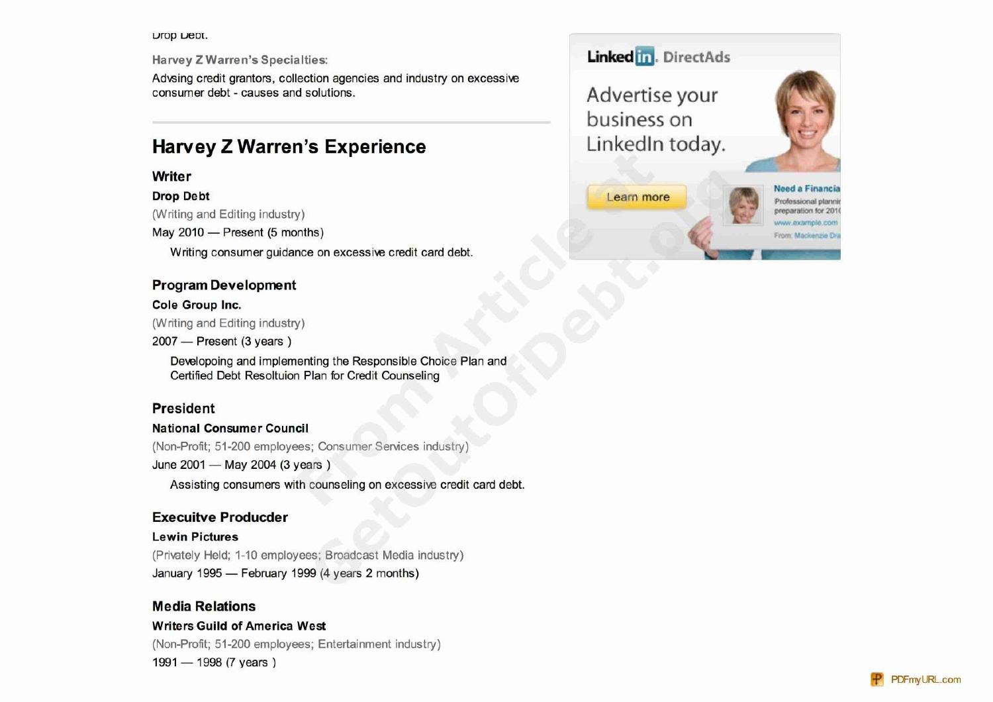#### **LIOD LIEDI.**

**Harvey Z Warren's Specialties:** 

Advsing credit grantors, collection agencies and industry on excessive consumer debt - causes and solutions.

# **Harvey Z Warren's Experience**

## Writer

#### **Drop Debt**

(Writing and Editing industry)

May 2010 - Present (5 months)

Writing consumer guidance on excessive credit card debt.

## **Program Development**

### Cole Group Inc.

(Writing and Editing industry)

 $2007$  - Present (3 years)

Developoing and implementing the Responsible Choice Plan and Certified Debt Resoltuion Plan for Credit Counseling

## **President**

#### **National Consumer Council**

(Non-Profit; 51-200 employees; Consumer Services industry)

June 2001 - May 2004 (3 years)

Assisting consumers with counseling on excessive credit card debt.

## **Execuitve Producder**

### **Lewin Pictures**

(Privately Held; 1-10 employees; Broadcast Media industry) January 1995 - February 1999 (4 years 2 months)

# **Media Relations**

### **Writers Guild of America West**

(Non-Profit; 51-200 employees; Entertainment industry) 1991 - 1998 (7 years)

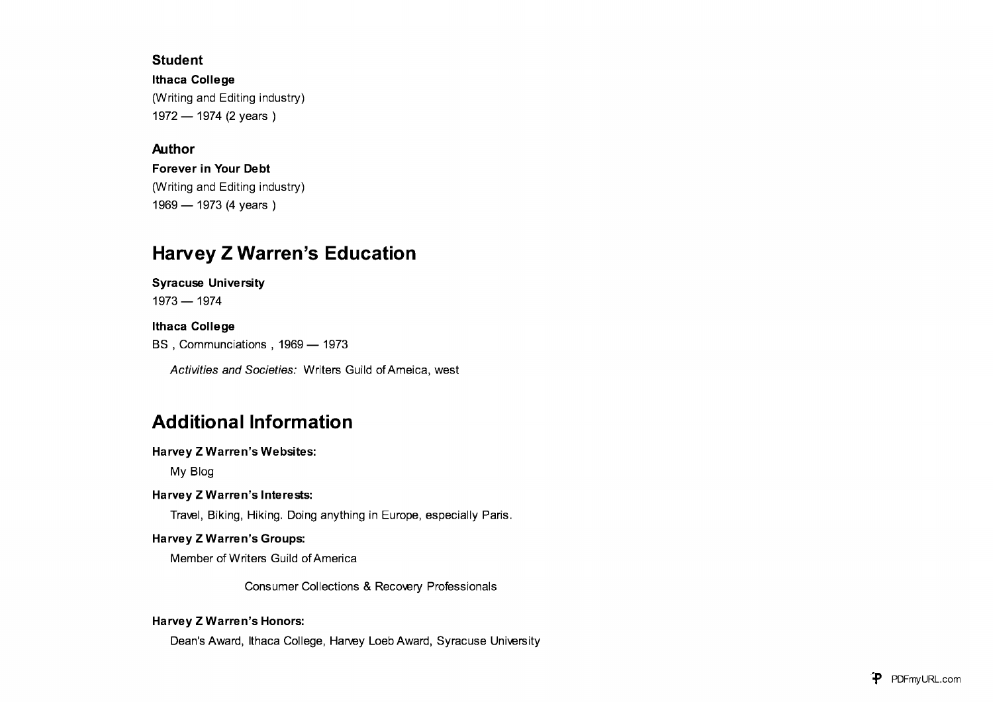### **Student**

**Ithaca College** (Writing and Editing industry) 1972 — 1974 (2 years )

## **Author**

**Forever in Your Debt** (Writing and Editing industry) 1969 — 1973 (4 years )

# **Harvey Z Warren's Education**

**Syracuse University**

1973 — 1974

# **Ithaca College**

BS, Communciations, 1969 — 1973

Activities and Societies: Writers Guild of Ameica, west

# **Additional Information**

**Harvey Z Warren's Websites:**

My Blog

## **Harvey Z Warren's Interests:**

Travel, Biking, Hiking. Doing anything in Europe, especially Paris.

### **Harvey Z Warren's Groups:**

Member of Writers Guild of America

Consumer Collections & Recovery Professionals

### **Harvey Z Warren's Honors:**

Dean's Award, Ithaca College, Harvey Loeb Award, Syracuse University